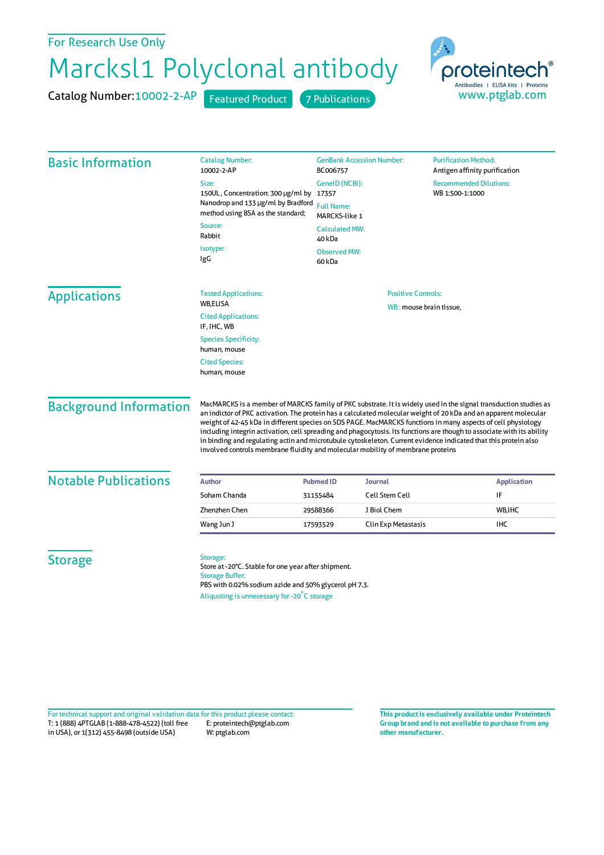## Marcksl1 Polyclonal antibody For Research Use Only

Catalog Number: 10002-2-AP Featured Product 7 Publications



| <b>Basic Information</b>      | <b>Catalog Number:</b><br>10002-2-AP                                                                                                                                                                                                                                                                                                                                                                                                                                                                                                                                                                                                                                                 | <b>GenBank Accession Number:</b><br>BC006757          | <b>Purification Method:</b><br>Antigen affinity purification |
|-------------------------------|--------------------------------------------------------------------------------------------------------------------------------------------------------------------------------------------------------------------------------------------------------------------------------------------------------------------------------------------------------------------------------------------------------------------------------------------------------------------------------------------------------------------------------------------------------------------------------------------------------------------------------------------------------------------------------------|-------------------------------------------------------|--------------------------------------------------------------|
|                               | Size:                                                                                                                                                                                                                                                                                                                                                                                                                                                                                                                                                                                                                                                                                | GeneID (NCBI):                                        | <b>Recommended Dilutions:</b>                                |
|                               | 150UL, Concentration: 300 µg/ml by 17357<br>Nanodrop and 133 µg/ml by Bradford<br>method using BSA as the standard;                                                                                                                                                                                                                                                                                                                                                                                                                                                                                                                                                                  | WB 1:500-1:1000<br><b>Full Name:</b><br>MARCKS-like 1 |                                                              |
|                               | Source:<br>Rabbit                                                                                                                                                                                                                                                                                                                                                                                                                                                                                                                                                                                                                                                                    | <b>Calculated MW:</b><br>40 kDa                       |                                                              |
|                               | Isotype:<br>IgG                                                                                                                                                                                                                                                                                                                                                                                                                                                                                                                                                                                                                                                                      | <b>Observed MW:</b><br>60 kDa                         |                                                              |
| <b>Applications</b>           | <b>Tested Applications:</b><br>WB,ELISA                                                                                                                                                                                                                                                                                                                                                                                                                                                                                                                                                                                                                                              | <b>Positive Controls:</b><br>WB: mouse brain tissue,  |                                                              |
|                               | <b>Cited Applications:</b><br>IF, IHC, WB                                                                                                                                                                                                                                                                                                                                                                                                                                                                                                                                                                                                                                            |                                                       |                                                              |
|                               | <b>Species Specificity:</b><br>human, mouse                                                                                                                                                                                                                                                                                                                                                                                                                                                                                                                                                                                                                                          |                                                       |                                                              |
|                               | <b>Cited Species:</b><br>human, mouse                                                                                                                                                                                                                                                                                                                                                                                                                                                                                                                                                                                                                                                |                                                       |                                                              |
| <b>Background Information</b> | MacMARCKS is a member of MARCKS family of PKC substrate. It is widely used in the signal transduction studies as<br>an indictor of PKC activation. The protein has a calculated molecular weight of 20 kDa and an apparent molecular<br>weight of 42-45 kDa in different species on SDS PAGE. MacMARCKS functions in many aspects of cell physiology<br>including integrin activation, cell spreading and phagocytosis. Its functions are though to associate with its ability<br>in binding and regulating actin and microtubule cytoskeleton. Current evidence indicated that this protein also<br>involved controls membrane fluidity and molecular mobility of membrane proteins |                                                       |                                                              |
| <b>Notable Publications</b>   | <b>Author</b>                                                                                                                                                                                                                                                                                                                                                                                                                                                                                                                                                                                                                                                                        | <b>Pubmed ID</b><br><b>Journal</b>                    | <b>Application</b>                                           |
|                               | Soham Chanda                                                                                                                                                                                                                                                                                                                                                                                                                                                                                                                                                                                                                                                                         | <b>Cell Stem Cell</b><br>31155484                     | IF                                                           |
|                               | <b>Zhenzhen Chen</b>                                                                                                                                                                                                                                                                                                                                                                                                                                                                                                                                                                                                                                                                 | J Biol Chem<br>29588366                               | WB, IHC                                                      |
|                               | Wang Jun J                                                                                                                                                                                                                                                                                                                                                                                                                                                                                                                                                                                                                                                                           | Clin Exp Metastasis<br>17593529                       | IHC                                                          |
| <b>Storage</b>                | Storage:<br>Store at -20°C. Stable for one year after shipment.<br><b>Storage Buffer:</b><br>PBS with 0.02% sodium azide and 50% glycerol pH 7.3.<br>Aliquoting is unnecessary for -20°C storage                                                                                                                                                                                                                                                                                                                                                                                                                                                                                     |                                                       |                                                              |

T: 1 (888) 4PTGLAB (1-888-478-4522) (toll free in USA), or 1(312) 455-8498 (outside USA) E: proteintech@ptglab.com W: ptglab.com Fortechnical support and original validation data forthis product please contact: **This productis exclusively available under Proteintech**

**Group brand and is not available to purchase from any other manufacturer.**